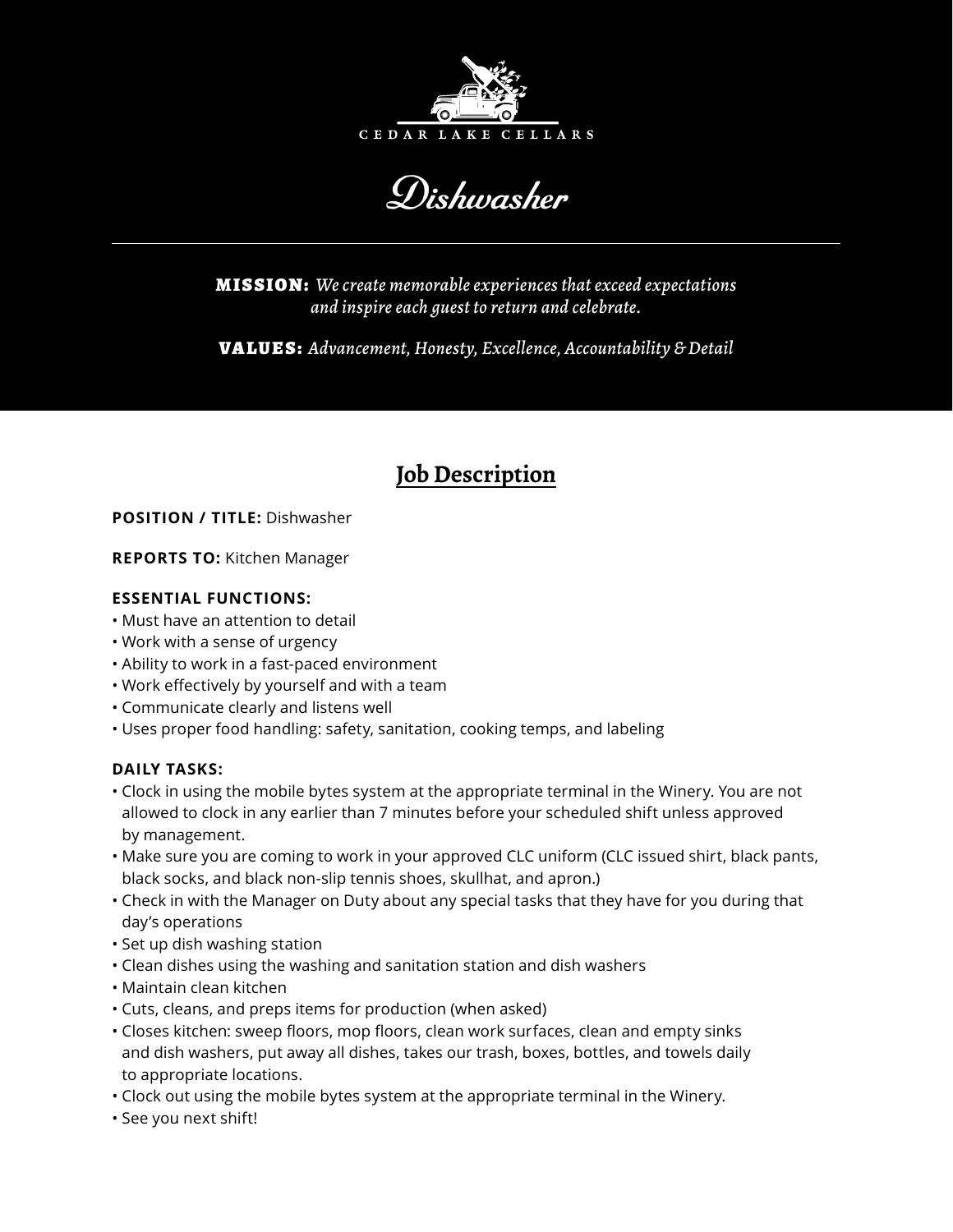

Dishwasher

MISSION: *We create memorable experiences that exceed expectations and inspire each guest to return and celebrate.*

VALUES: *Advancement, Honesty, Excellence, Accountability & Detail*

# **Job Description**

## **POSITION / TITLE:** Dishwasher

**REPORTS TO:** Kitchen Manager

## **ESSENTIAL FUNCTIONS:**

- Must have an attention to detail
- Work with a sense of urgency
- Ability to work in a fast-paced environment
- Work effectively by yourself and with a team
- Communicate clearly and listens well
- Uses proper food handling: safety, sanitation, cooking temps, and labeling

## **DAILY TASKS:**

- Clock in using the mobile bytes system at the appropriate terminal in the Winery. You are not allowed to clock in any earlier than 7 minutes before your scheduled shift unless approved by management.
- Make sure you are coming to work in your approved CLC uniform (CLC issued shirt, black pants, black socks, and black non-slip tennis shoes, skullhat, and apron.)
- Check in with the Manager on Duty about any special tasks that they have for you during that day's operations
- Set up dish washing station
- Clean dishes using the washing and sanitation station and dish washers
- Maintain clean kitchen
- Cuts, cleans, and preps items for production (when asked)
- Closes kitchen: sweep floors, mop floors, clean work surfaces, clean and empty sinks and dish washers, put away all dishes, takes our trash, boxes, bottles, and towels daily to appropriate locations.
- Clock out using the mobile bytes system at the appropriate terminal in the Winery.
- See you next shift!